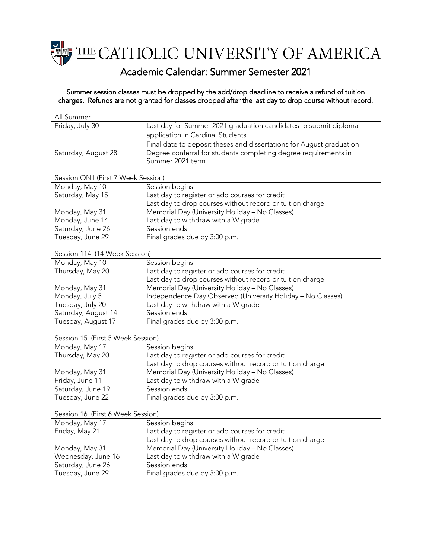THE CATHOLIC UNIVERSITY OF AMERICA

## Academic Calendar: Summer Semester 2021

Summer session classes must be dropped by the add/drop deadline to receive a refund of tuition charges. Refunds are not granted for classes dropped after the last day to drop course without record.

| All Summer                         |                                                                      |  |
|------------------------------------|----------------------------------------------------------------------|--|
| Friday, July 30                    | Last day for Summer 2021 graduation candidates to submit diploma     |  |
|                                    | application in Cardinal Students                                     |  |
|                                    | Final date to deposit theses and dissertations for August graduation |  |
| Saturday, August 28                | Degree conferral for students completing degree requirements in      |  |
|                                    | Summer 2021 term                                                     |  |
|                                    |                                                                      |  |
| Session ON1 (First 7 Week Session) |                                                                      |  |
| Monday, May 10                     | Session begins                                                       |  |
| Saturday, May 15                   | Last day to register or add courses for credit                       |  |
|                                    | Last day to drop courses without record or tuition charge            |  |
| Monday, May 31                     | Memorial Day (University Holiday - No Classes)                       |  |
| Monday, June 14                    | Last day to withdraw with a W grade                                  |  |
| Saturday, June 26                  | Session ends                                                         |  |
| Tuesday, June 29                   | Final grades due by 3:00 p.m.                                        |  |
|                                    |                                                                      |  |
| Session 114 (14 Week Session)      |                                                                      |  |
| Monday, May 10                     | Session begins                                                       |  |
| Thursday, May 20                   | Last day to register or add courses for credit                       |  |
|                                    | Last day to drop courses without record or tuition charge            |  |
| Monday, May 31                     | Memorial Day (University Holiday - No Classes)                       |  |
| Monday, July 5                     | Independence Day Observed (University Holiday - No Classes)          |  |
| Tuesday, July 20                   | Last day to withdraw with a W grade                                  |  |
| Saturday, August 14                | Session ends                                                         |  |
| Tuesday, August 17                 | Final grades due by 3:00 p.m.                                        |  |
|                                    |                                                                      |  |
| Session 15 (First 5 Week Session)  |                                                                      |  |
| Monday, May 17                     | Session begins                                                       |  |
| Thursday, May 20                   | Last day to register or add courses for credit                       |  |
|                                    | Last day to drop courses without record or tuition charge            |  |
| Monday, May 31                     | Memorial Day (University Holiday - No Classes)                       |  |
| Friday, June 11                    | Last day to withdraw with a W grade                                  |  |
| Saturday, June 19                  | Session ends                                                         |  |
| Tuesday, June 22                   | Final grades due by 3:00 p.m.                                        |  |
|                                    |                                                                      |  |
| Session 16 (First 6 Week Session)  |                                                                      |  |
| Monday, May 17                     | Session begins                                                       |  |
| Friday, May 21                     | Last day to register or add courses for credit                       |  |
|                                    | Last day to drop courses without record or tuition charge            |  |
| Monday, May 31                     | Memorial Day (University Holiday - No Classes)                       |  |
| Wednesday, June 16                 | Last day to withdraw with a W grade                                  |  |
| Saturday, June 26                  | Session ends                                                         |  |
| Tuesday, June 29                   | Final grades due by 3:00 p.m.                                        |  |